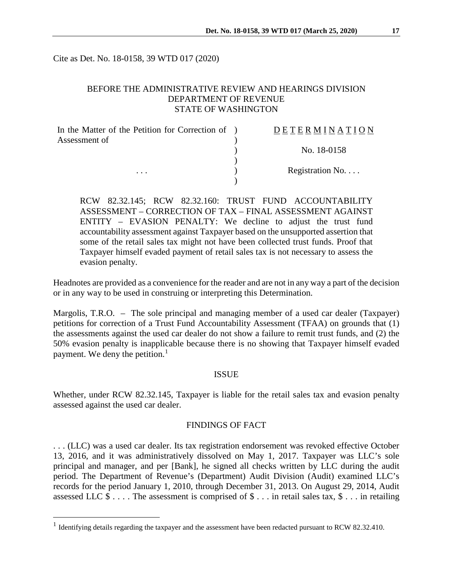Cite as Det. No. 18-0158, 39 WTD 017 (2020)

# BEFORE THE ADMINISTRATIVE REVIEW AND HEARINGS DIVISION DEPARTMENT OF REVENUE STATE OF WASHINGTON

| In the Matter of the Petition for Correction of ) | DETERMINATION   |
|---------------------------------------------------|-----------------|
| Assessment of                                     |                 |
|                                                   | No. 18-0158     |
|                                                   |                 |
| $\cdots$                                          | Registration No |
|                                                   |                 |

RCW 82.32.145; RCW 82.32.160: TRUST FUND ACCOUNTABILITY ASSESSMENT – CORRECTION OF TAX – FINAL ASSESSMENT AGAINST ENTITY – EVASION PENALTY: We decline to adjust the trust fund accountability assessment against Taxpayer based on the unsupported assertion that some of the retail sales tax might not have been collected trust funds. Proof that Taxpayer himself evaded payment of retail sales tax is not necessary to assess the evasion penalty.

Headnotes are provided as a convenience for the reader and are not in any way a part of the decision or in any way to be used in construing or interpreting this Determination.

Margolis, T.R.O. – The sole principal and managing member of a used car dealer (Taxpayer) petitions for correction of a Trust Fund Accountability Assessment (TFAA) on grounds that (1) the assessments against the used car dealer do not show a failure to remit trust funds, and (2) the 50% evasion penalty is inapplicable because there is no showing that Taxpayer himself evaded payment. We deny the petition.<sup>[1](#page-0-0)</sup>

### ISSUE

Whether, under RCW 82.32.145, Taxpayer is liable for the retail sales tax and evasion penalty assessed against the used car dealer.

#### FINDINGS OF FACT

. . . (LLC) was a used car dealer. Its tax registration endorsement was revoked effective October 13, 2016, and it was administratively dissolved on May 1, 2017. Taxpayer was LLC's sole principal and manager, and per [Bank], he signed all checks written by LLC during the audit period. The Department of Revenue's (Department) Audit Division (Audit) examined LLC's records for the period January 1, 2010, through December 31, 2013. On August 29, 2014, Audit assessed LLC  $\$\dots$  The assessment is comprised of  $\$\dots$  in retail sales tax,  $\$\dots$  in retailing

<span id="page-0-0"></span><sup>&</sup>lt;sup>1</sup> Identifying details regarding the taxpayer and the assessment have been redacted pursuant to RCW 82.32.410.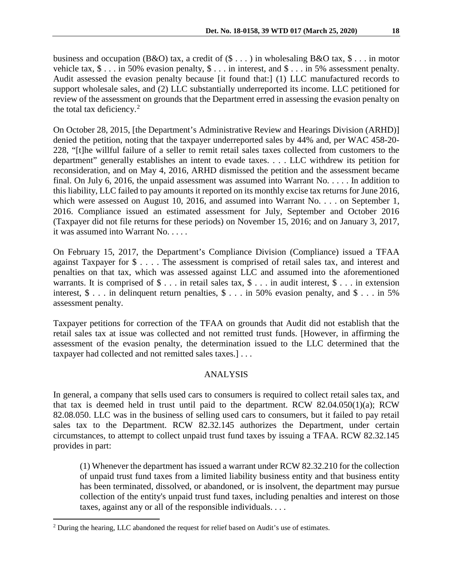business and occupation (B&O) tax, a credit of  $(\$ \dots)$  in wholesaling B&O tax,  $\$ \dots$  in motor vehicle tax, \$ . . . in 50% evasion penalty, \$ . . . in interest, and \$ . . . in 5% assessment penalty. Audit assessed the evasion penalty because [it found that:] (1) LLC manufactured records to support wholesale sales, and (2) LLC substantially underreported its income. LLC petitioned for review of the assessment on grounds that the Department erred in assessing the evasion penalty on the total tax deficiency. [2](#page-1-0)

On October 28, 2015, [the Department's Administrative Review and Hearings Division (ARHD)] denied the petition, noting that the taxpayer underreported sales by 44% and, per WAC 458-20- 228, "[t]he willful failure of a seller to remit retail sales taxes collected from customers to the department" generally establishes an intent to evade taxes. . . . LLC withdrew its petition for reconsideration, and on May 4, 2016, ARHD dismissed the petition and the assessment became final. On July 6, 2016, the unpaid assessment was assumed into Warrant No. . . . . In addition to this liability, LLC failed to pay amounts it reported on its monthly excise tax returns for June 2016, which were assessed on August 10, 2016, and assumed into Warrant No. . . . on September 1, 2016. Compliance issued an estimated assessment for July, September and October 2016 (Taxpayer did not file returns for these periods) on November 15, 2016; and on January 3, 2017, it was assumed into Warrant No. . . . .

On February 15, 2017, the Department's Compliance Division (Compliance) issued a TFAA against Taxpayer for \$ . . . . The assessment is comprised of retail sales tax, and interest and penalties on that tax, which was assessed against LLC and assumed into the aforementioned warrants. It is comprised of  $\$\ldots$  in retail sales tax,  $\$\ldots$  in audit interest,  $\$\ldots$  in extension interest,  $\$ \dots$  in delinquent return penalties,  $\$ \dots$  in 50% evasion penalty, and  $\$ \dots$  in 5% assessment penalty.

Taxpayer petitions for correction of the TFAA on grounds that Audit did not establish that the retail sales tax at issue was collected and not remitted trust funds. [However, in affirming the assessment of the evasion penalty, the determination issued to the LLC determined that the taxpayer had collected and not remitted sales taxes.] . . .

# ANALYSIS

In general, a company that sells used cars to consumers is required to collect retail sales tax, and that tax is deemed held in trust until paid to the department. RCW 82.04.050(1)(a); RCW 82.08.050. LLC was in the business of selling used cars to consumers, but it failed to pay retail sales tax to the Department. RCW 82.32.145 authorizes the Department, under certain circumstances, to attempt to collect unpaid trust fund taxes by issuing a TFAA. RCW 82.32.145 provides in part:

(1) Whenever the department has issued a warrant under RCW 82.32.210 for the collection of unpaid trust fund taxes from a limited liability business entity and that business entity has been terminated, dissolved, or abandoned, or is insolvent, the department may pursue collection of the entity's unpaid trust fund taxes, including penalties and interest on those taxes, against any or all of the responsible individuals. . . .

<span id="page-1-0"></span><sup>&</sup>lt;sup>2</sup> During the hearing, LLC abandoned the request for relief based on Audit's use of estimates.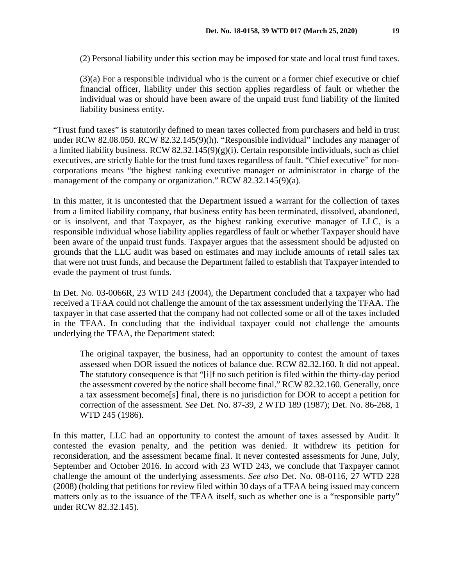(2) Personal liability under this section may be imposed for state and local trust fund taxes.

(3)(a) For a responsible individual who is the current or a former chief executive or chief financial officer, liability under this section applies regardless of fault or whether the individual was or should have been aware of the unpaid trust fund liability of the limited liability business entity.

"Trust fund taxes" is statutorily defined to mean taxes collected from purchasers and held in trust under RCW 82.08.050. RCW 82.32.145(9)(h). "Responsible individual" includes any manager of a limited liability business. RCW 82.32.145(9)(g)(i). Certain responsible individuals, such as chief executives, are strictly liable for the trust fund taxes regardless of fault. "Chief executive" for noncorporations means "the highest ranking executive manager or administrator in charge of the management of the company or organization." RCW 82.32.145(9)(a).

In this matter, it is uncontested that the Department issued a warrant for the collection of taxes from a limited liability company, that business entity has been terminated, dissolved, abandoned, or is insolvent, and that Taxpayer, as the highest ranking executive manager of LLC, is a responsible individual whose liability applies regardless of fault or whether Taxpayer should have been aware of the unpaid trust funds. Taxpayer argues that the assessment should be adjusted on grounds that the LLC audit was based on estimates and may include amounts of retail sales tax that were not trust funds, and because the Department failed to establish that Taxpayer intended to evade the payment of trust funds.

In Det. No. 03-0066R, 23 WTD 243 (2004), the Department concluded that a taxpayer who had received a TFAA could not challenge the amount of the tax assessment underlying the TFAA. The taxpayer in that case asserted that the company had not collected some or all of the taxes included in the TFAA. In concluding that the individual taxpayer could not challenge the amounts underlying the TFAA, the Department stated:

The original taxpayer, the business, had an opportunity to contest the amount of taxes assessed when DOR issued the notices of balance due. RCW 82.32.160. It did not appeal. The statutory consequence is that "[i]f no such petition is filed within the thirty-day period the assessment covered by the notice shall become final." RCW 82.32.160. Generally, once a tax assessment become[s] final, there is no jurisdiction for DOR to accept a petition for correction of the assessment. *See* Det. No. 87-39, 2 WTD 189 (1987); Det. No. 86-268, 1 WTD 245 (1986).

In this matter, LLC had an opportunity to contest the amount of taxes assessed by Audit. It contested the evasion penalty, and the petition was denied. It withdrew its petition for reconsideration, and the assessment became final. It never contested assessments for June, July, September and October 2016. In accord with 23 WTD 243, we conclude that Taxpayer cannot challenge the amount of the underlying assessments. *See also* Det. No. 08-0116, 27 WTD 228 (2008) (holding that petitions for review filed within 30 days of a TFAA being issued may concern matters only as to the issuance of the TFAA itself, such as whether one is a "responsible party" under RCW 82.32.145).